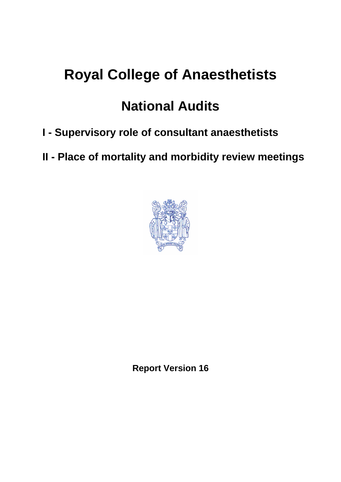# **Royal College of Anaesthetists**

## **National Audits**

- **I Supervisory role of consultant anaesthetists**
- **II Place of mortality and morbidity review meetings**



**Report Version 16**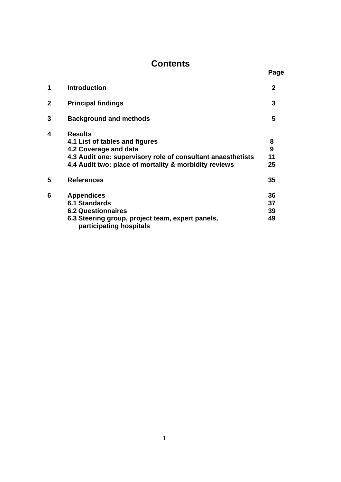# **Contents** Page

| 1 | <b>Introduction</b>                                                                                                                                                                               | $\mathbf{2}$         |
|---|---------------------------------------------------------------------------------------------------------------------------------------------------------------------------------------------------|----------------------|
| 2 | <b>Principal findings</b>                                                                                                                                                                         | 3                    |
| 3 | <b>Background and methods</b>                                                                                                                                                                     | 5                    |
| 4 | <b>Results</b><br>4.1 List of tables and figures<br>4.2 Coverage and data<br>4.3 Audit one: supervisory role of consultant anaesthetists<br>4.4 Audit two: place of mortality & morbidity reviews | 8<br>9<br>11<br>25   |
| 5 | <b>References</b>                                                                                                                                                                                 | 35                   |
| 6 | <b>Appendices</b><br><b>6.1 Standards</b><br><b>6.2 Questionnaires</b><br>6.3 Steering group, project team, expert panels,<br>participating hospitals                                             | 36<br>37<br>39<br>49 |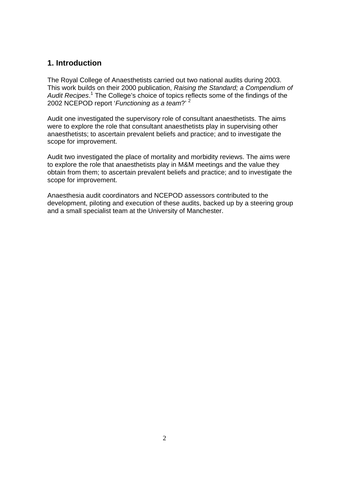## **1. Introduction**

The Royal College of Anaesthetists carried out two national audits during 2003. This work builds on their 2000 publication, *Raising the Standard; a Compendium of Audit Recipes*. <sup>1</sup> The College's choice of topics reflects some of the findings of the 2002 NCEPOD report '*Functioning as a team*?' 2

Audit one investigated the supervisory role of consultant anaesthetists. The aims were to explore the role that consultant anaesthetists play in supervising other anaesthetists; to ascertain prevalent beliefs and practice; and to investigate the scope for improvement.

Audit two investigated the place of mortality and morbidity reviews. The aims were to explore the role that anaesthetists play in M&M meetings and the value they obtain from them; to ascertain prevalent beliefs and practice; and to investigate the scope for improvement.

Anaesthesia audit coordinators and NCEPOD assessors contributed to the development, piloting and execution of these audits, backed up by a steering group and a small specialist team at the University of Manchester.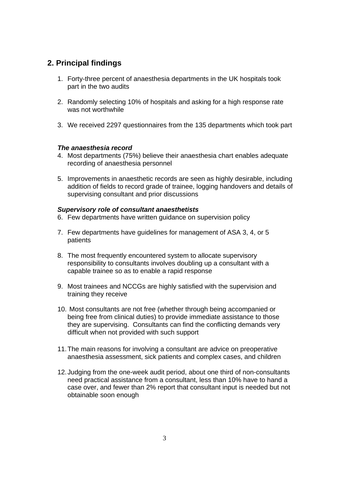## **2. Principal findings**

- 1. Forty-three percent of anaesthesia departments in the UK hospitals took part in the two audits
- 2. Randomly selecting 10% of hospitals and asking for a high response rate was not worthwhile
- 3. We received 2297 questionnaires from the 135 departments which took part

#### *The anaesthesia record*

- 4. Most departments (75%) believe their anaesthesia chart enables adequate recording of anaesthesia personnel
- 5. Improvements in anaesthetic records are seen as highly desirable, including addition of fields to record grade of trainee, logging handovers and details of supervising consultant and prior discussions

#### *Supervisory role of consultant anaesthetists*

- 6. Few departments have written guidance on supervision policy
- 7. Few departments have guidelines for management of ASA 3, 4, or 5 patients
- 8. The most frequently encountered system to allocate supervisory responsibility to consultants involves doubling up a consultant with a capable trainee so as to enable a rapid response
- 9. Most trainees and NCCGs are highly satisfied with the supervision and training they receive
- 10. Most consultants are not free (whether through being accompanied or being free from clinical duties) to provide immediate assistance to those they are supervising. Consultants can find the conflicting demands very difficult when not provided with such support
- 11. The main reasons for involving a consultant are advice on preoperative anaesthesia assessment, sick patients and complex cases, and children
- 12. Judging from the one-week audit period, about one third of non-consultants need practical assistance from a consultant, less than 10% have to hand a case over, and fewer than 2% report that consultant input is needed but not obtainable soon enough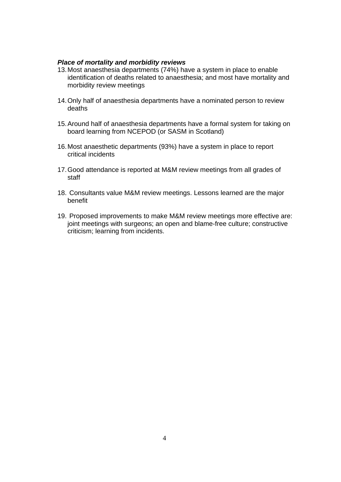#### *Place of mortality and morbidity reviews*

- 13. Most anaesthesia departments (74%) have a system in place to enable identification of deaths related to anaesthesia; and most have mortality and morbidity review meetings
- 14. Only half of anaesthesia departments have a nominated person to review deaths
- 15. Around half of anaesthesia departments have a formal system for taking on board learning from NCEPOD (or SASM in Scotland)
- 16. Most anaesthetic departments (93%) have a system in place to report critical incidents
- 17. Good attendance is reported at M&M review meetings from all grades of staff
- 18. Consultants value M&M review meetings. Lessons learned are the major benefit
- 19. Proposed improvements to make M&M review meetings more effective are: joint meetings with surgeons; an open and blame-free culture; constructive criticism; learning from incidents.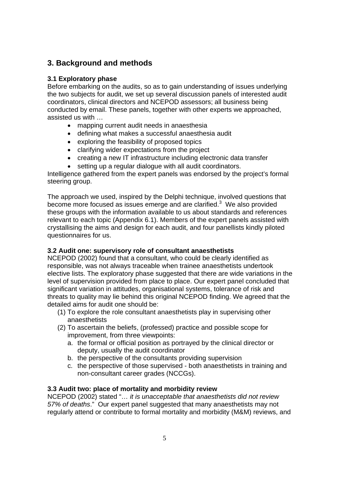## **3. Background and methods**

#### **3.1 Exploratory phase**

Before embarking on the audits, so as to gain understanding of issues underlying the two subjects for audit, we set up several discussion panels of interested audit coordinators, clinical directors and NCEPOD assessors; all business being conducted by email. These panels, together with other experts we approached, assisted us with …

- mapping current audit needs in anaesthesia
- defining what makes a successful anaesthesia audit
- exploring the feasibility of proposed topics
- clarifying wider expectations from the project
- creating a new IT infrastructure including electronic data transfer
- setting up a regular dialogue with all audit coordinators.

Intelligence gathered from the expert panels was endorsed by the project's formal steering group.

The approach we used, inspired by the Delphi technique, involved questions that become more focused as issues emerge and are clarified. $3$  We also provided these groups with the information available to us about standards and references relevant to each topic (Appendix 6.1). Members of the expert panels assisted with crystallising the aims and design for each audit, and four panellists kindly piloted questionnaires for us.

#### **3.2 Audit one: supervisory role of consultant anaesthetists**

NCEPOD (2002) found that a consultant, who could be clearly identified as responsible, was not always traceable when trainee anaesthetists undertook elective lists. The exploratory phase suggested that there are wide variations in the level of supervision provided from place to place. Our expert panel concluded that significant variation in attitudes, organisational systems, tolerance of risk and threats to quality may lie behind this original NCEPOD finding. We agreed that the detailed aims for audit one should be:

- (1) To explore the role consultant anaesthetists play in supervising other anaesthetists
- (2) To ascertain the beliefs, (professed) practice and possible scope for improvement, from three viewpoints:
	- a. the formal or official position as portrayed by the clinical director or deputy, usually the audit coordinator
	- b. the perspective of the consultants providing supervision
	- c. the perspective of those supervised both anaesthetists in training and non-consultant career grades (NCCGs).

#### **3.3 Audit two: place of mortality and morbidity review**

NCEPOD (2002) stated "… *it is unacceptable that anaesthetists did not review 57% of deaths*." Our expert panel suggested that many anaesthetists may not regularly attend or contribute to formal mortality and morbidity (M&M) reviews, and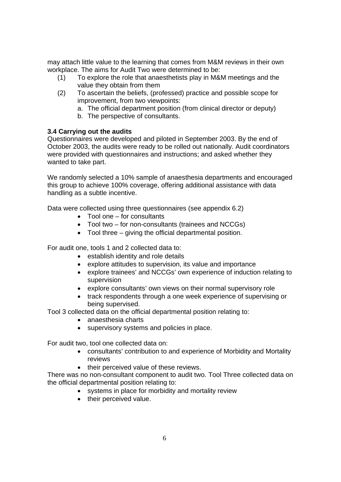may attach little value to the learning that comes from M&M reviews in their own workplace. The aims for Audit Two were determined to be:

- (1) To explore the role that anaesthetists play in M&M meetings and the value they obtain from them
- (2) To ascertain the beliefs, (professed) practice and possible scope for improvement, from two viewpoints:
	- a. The official department position (from clinical director or deputy)
	- b. The perspective of consultants.

#### **3.4 Carrying out the audits**

Questionnaires were developed and piloted in September 2003. By the end of October 2003, the audits were ready to be rolled out nationally. Audit coordinators were provided with questionnaires and instructions; and asked whether they wanted to take part.

We randomly selected a 10% sample of anaesthesia departments and encouraged this group to achieve 100% coverage, offering additional assistance with data handling as a subtle incentive.

Data were collected using three questionnaires (see appendix 6.2)

- Tool one for consultants
- Tool two for non-consultants (trainees and NCCGs)
- Tool three giving the official departmental position.

For audit one, tools 1 and 2 collected data to:

- establish identity and role details
- explore attitudes to supervision, its value and importance
- explore trainees' and NCCGs' own experience of induction relating to supervision
- explore consultants' own views on their normal supervisory role
- track respondents through a one week experience of supervising or being supervised.

Tool 3 collected data on the official departmental position relating to:

- anaesthesia charts
- supervisory systems and policies in place.

For audit two, tool one collected data on:

- consultants' contribution to and experience of Morbidity and Mortality reviews
- their perceived value of these reviews.

There was no non-consultant component to audit two. Tool Three collected data on the official departmental position relating to:

- systems in place for morbidity and mortality review
- their perceived value.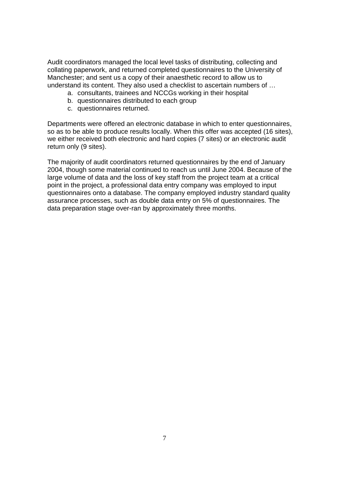Audit coordinators managed the local level tasks of distributing, collecting and collating paperwork, and returned completed questionnaires to the University of Manchester; and sent us a copy of their anaesthetic record to allow us to understand its content. They also used a checklist to ascertain numbers of …

- a. consultants, trainees and NCCGs working in their hospital
- b. questionnaires distributed to each group
- c. questionnaires returned.

Departments were offered an electronic database in which to enter questionnaires, so as to be able to produce results locally. When this offer was accepted (16 sites), we either received both electronic and hard copies (7 sites) or an electronic audit return only (9 sites).

The majority of audit coordinators returned questionnaires by the end of January 2004, though some material continued to reach us until June 2004. Because of the large volume of data and the loss of key staff from the project team at a critical point in the project, a professional data entry company was employed to input questionnaires onto a database. The company employed industry standard quality assurance processes, such as double data entry on 5% of questionnaires. The data preparation stage over-ran by approximately three months.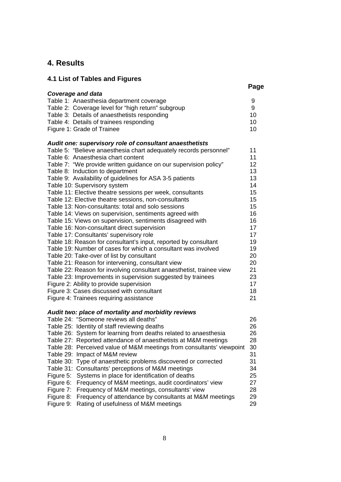## **4. Results**

| 4.1 List of Tables and Figures                                                                                                      |      |
|-------------------------------------------------------------------------------------------------------------------------------------|------|
|                                                                                                                                     | Page |
| <b>Coverage and data</b>                                                                                                            |      |
| Table 1: Anaesthesia department coverage<br>9                                                                                       |      |
| Table 2: Coverage level for "high return" subgroup<br>9                                                                             |      |
| Table 3: Details of anaesthetists responding<br>10                                                                                  |      |
| Table 4: Details of trainees responding<br>10                                                                                       |      |
| Figure 1: Grade of Trainee<br>10                                                                                                    |      |
| Audit one: supervisory role of consultant anaesthetists                                                                             |      |
| 11<br>Table 5: "Believe anaesthesia chart adequately records personnel"                                                             |      |
| Table 6: Anaesthesia chart content<br>11                                                                                            |      |
| Table 7: "We provide written guidance on our supervision policy"<br>12                                                              |      |
| 13<br>Table 8: Induction to department                                                                                              |      |
| Table 9: Availability of guidelines for ASA 3-5 patients<br>13                                                                      |      |
| Table 10: Supervisory system<br>14                                                                                                  |      |
| Table 11: Elective theatre sessions per week, consultants<br>15                                                                     |      |
| Table 12: Elective theatre sessions, non-consultants<br>15                                                                          |      |
| Table 13: Non-consultants: total and solo sessions<br>15                                                                            |      |
| Table 14: Views on supervision, sentiments agreed with<br>16                                                                        |      |
| Table 15: Views on supervision, sentiments disagreed with<br>16                                                                     |      |
| Table 16: Non-consultant direct supervision<br>17                                                                                   |      |
| Table 17: Consultants' supervisory role<br>17                                                                                       |      |
| Table 18: Reason for consultant's input, reported by consultant<br>19                                                               |      |
| Table 19: Number of cases for which a consultant was involved<br>19                                                                 |      |
| Table 20: Take-over of list by consultant<br>20                                                                                     |      |
| Table 21: Reason for intervening, consultant view<br>20                                                                             |      |
| Table 22: Reason for involving consultant anaesthetist, trainee view<br>21                                                          |      |
| Table 23: Improvements in supervision suggested by trainees<br>23<br>17                                                             |      |
| Figure 2: Ability to provide supervision<br>Figure 3: Cases discussed with consultant<br>18                                         |      |
| Figure 4: Trainees requiring assistance<br>21                                                                                       |      |
|                                                                                                                                     |      |
| Audit two: place of mortality and morbidity reviews                                                                                 |      |
| Table 24: "Someone reviews all deaths"<br>26                                                                                        |      |
| Table 25: Identity of staff reviewing deaths<br>26                                                                                  |      |
| Table 26: System for learning from deaths related to anaesthesia<br>26                                                              |      |
| Table 27: Reported attendance of anaesthetists at M&M meetings<br>28                                                                |      |
| Table 28: Perceived value of M&M meetings from consultants' viewpoint<br>30                                                         |      |
| 31<br>Table 29: Impact of M&M review                                                                                                |      |
| Type of anaesthetic problems discovered or corrected<br>31<br>Table 30:                                                             |      |
| Table 31:<br>Consultants' perceptions of M&M meetings<br>34                                                                         |      |
| Figure 5:<br>Systems in place for identification of deaths<br>25<br>27                                                              |      |
| Frequency of M&M meetings, audit coordinators' view<br>Figure 6:<br>Frequency of M&M meetings, consultants' view<br>Figure 7:<br>28 |      |
| Figure 8:<br>Frequency of attendance by consultants at M&M meetings<br>29                                                           |      |
| Figure 9:<br>Rating of usefulness of M&M meetings<br>29                                                                             |      |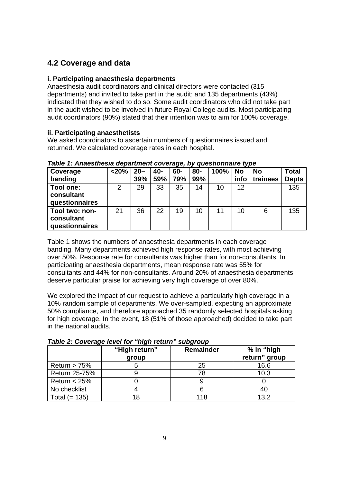## **4.2 Coverage and data**

#### **i. Participating anaesthesia departments**

Anaesthesia audit coordinators and clinical directors were contacted (315 departments) and invited to take part in the audit; and 135 departments (43%) indicated that they wished to do so. Some audit coordinators who did not take part in the audit wished to be involved in future Royal College audits. Most participating audit coordinators (90%) stated that their intention was to aim for 100% coverage.

#### **ii. Participating anaesthetists**

We asked coordinators to ascertain numbers of questionnaires issued and returned. We calculated coverage rates in each hospital.

| Coverage<br>banding                            | $<$ 20% | $20 -$<br>39% | 40-<br>59% | <u>.</u><br>60-<br>79% | 80-<br>99% | 100% | . .<br>' No<br>info | <b>No</b><br>trainees | <b>Total</b><br><b>Depts</b> |
|------------------------------------------------|---------|---------------|------------|------------------------|------------|------|---------------------|-----------------------|------------------------------|
| Tool one:<br>consultant<br>questionnaires      | 2       | 29            | 33         | 35                     | 14         | 10   | 12                  |                       | 135                          |
| Tool two: non-<br>consultant<br>questionnaires | 21      | 36            | 22         | 19                     | 10         | 11   | 10                  | 6                     | 135                          |

#### *Table 1: Anaesthesia department coverage, by questionnaire type*

Table 1 shows the numbers of anaesthesia departments in each coverage banding. Many departments achieved high response rates, with most achieving over 50%. Response rate for consultants was higher than for non-consultants. In participating anaesthesia departments, mean response rate was 55% for consultants and 44% for non-consultants. Around 20% of anaesthesia departments deserve particular praise for achieving very high coverage of over 80%.

We explored the impact of our request to achieve a particularly high coverage in a 10% random sample of departments. We over-sampled, expecting an approximate 50% compliance, and therefore approached 35 randomly selected hospitals asking for high coverage. In the event, 18 (51% of those approached) decided to take part in the national audits.

|                      | $1900$ $\mu$ , $0010$ $000$ $0010$ $101$ $100$ | JUNYI VUN        |                             |
|----------------------|------------------------------------------------|------------------|-----------------------------|
|                      | "High return"<br>group                         | <b>Remainder</b> | % in "high<br>return" group |
| Return $> 75%$       |                                                | 25               | 16.6                        |
| <b>Return 25-75%</b> |                                                | 78               | 10.3                        |
| Return $<$ 25%       |                                                |                  |                             |
| No checklist         |                                                |                  | 40                          |
| Total $(= 135)$      |                                                | 118              | 13.2                        |

*Table 2: Coverage level for "high return" subgroup*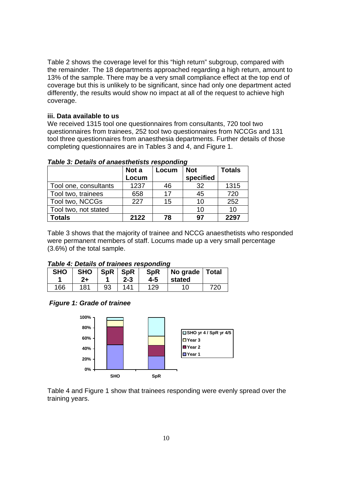Table 2 shows the coverage level for this "high return" subgroup, compared with the remainder. The 18 departments approached regarding a high return, amount to 13% of the sample. There may be a very small compliance effect at the top end of coverage but this is unlikely to be significant, since had only one department acted differently, the results would show no impact at all of the request to achieve high coverage.

#### **iii. Data available to us**

We received 1315 tool one questionnaires from consultants, 720 tool two questionnaires from trainees, 252 tool two questionnaires from NCCGs and 131 tool three questionnaires from anaesthesia departments. Further details of those completing questionnaires are in Tables 3 and 4, and Figure 1.

|                       | Not a | Locum | <b>Not</b> | <b>Totals</b> |
|-----------------------|-------|-------|------------|---------------|
|                       | Locum |       | specified  |               |
| Tool one, consultants | 1237  | 46    | 32         | 1315          |
| Tool two, trainees    | 658   | 17    | 45         | 720           |
| Tool two, NCCGs       | 227   | 15    | 10         | 252           |
| Tool two, not stated  |       |       | 10         | 10            |
| Totals                | 2122  | 78    | 97         | 2297          |

*Table 3: Details of anaesthetists responding* 

Table 3 shows that the majority of trainee and NCCG anaesthetists who responded were permanent members of staff. Locums made up a very small percentage (3.6%) of the total sample.

#### *Table 4: Details of trainees responding*

| <b>SHO</b> | <b>SHO</b><br>$2+$ |    | $SpR$ $SpR$<br>2-3 | SpR<br>4-5 | No grade Total<br>stated |     |
|------------|--------------------|----|--------------------|------------|--------------------------|-----|
| 166        | 181                | 93 | 141                | 129        | 10                       | 720 |

#### *Figure 1: Grade of trainee*



Table 4 and Figure 1 show that trainees responding were evenly spread over the training years.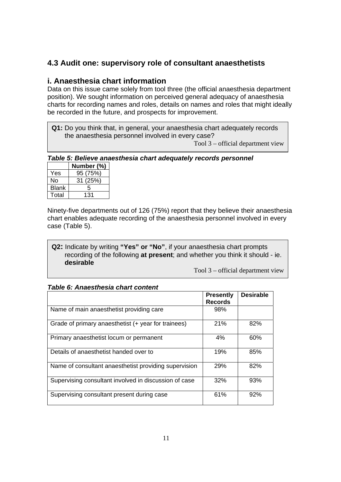## **4.3 Audit one: supervisory role of consultant anaesthetists**

#### **i. Anaesthesia chart information**

Data on this issue came solely from tool three (the official anaesthesia department position). We sought information on perceived general adequacy of anaesthesia charts for recording names and roles, details on names and roles that might ideally be recorded in the future, and prospects for improvement.

**Q1:** Do you think that, in general, your anaesthesia chart adequately records the anaesthesia personnel involved in every case?

Tool 3 – official department view

#### *Table 5: Believe anaesthesia chart adequately records personnel*

|              | Number (%) |
|--------------|------------|
| Yes          | 95 (75%)   |
| No           | 31 (25%)   |
| <b>Blank</b> | 5          |
| Total        | 131        |

 $\overline{\phantom{a}}$ 

Ninety-five departments out of 126 (75%) report that they believe their anaesthesia chart enables adequate recording of the anaesthesia personnel involved in every case (Table 5).

**Q2:** Indicate by writing **"Yes" or "No"**, if your anaesthesia chart prompts recording of the following **at present**; and whether you think it should - ie. **desirable** 

Tool 3 – official department view

#### *Table 6: Anaesthesia chart content*

|                                                       | <b>Presently</b><br><b>Records</b> | <b>Desirable</b> |
|-------------------------------------------------------|------------------------------------|------------------|
| Name of main anaesthetist providing care              | 98%                                |                  |
| Grade of primary anaesthetist (+ year for trainees)   | 21%                                | 82%              |
| Primary anaesthetist locum or permanent               | 4%                                 | 60%              |
| Details of anaesthetist handed over to                | 19%                                | 85%              |
| Name of consultant anaesthetist providing supervision | 29%                                | 82%              |
| Supervising consultant involved in discussion of case | 32%                                | 93%              |
| Supervising consultant present during case            | 61%                                | 92%              |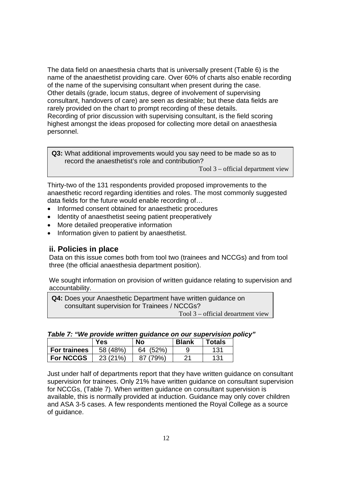The data field on anaesthesia charts that is universally present (Table 6) is the name of the anaesthetist providing care. Over 60% of charts also enable recording of the name of the supervising consultant when present during the case. Other details (grade, locum status, degree of involvement of supervising consultant, handovers of care) are seen as desirable; but these data fields are rarely provided on the chart to prompt recording of these details. Recording of prior discussion with supervising consultant, is the field scoring highest amongst the ideas proposed for collecting more detail on anaesthesia personnel.

**Q3:** What additional improvements would you say need to be made so as to record the anaesthetist's role and contribution?

Tool 3 – official department view

Thirty-two of the 131 respondents provided proposed improvements to the anaesthetic record regarding identities and roles. The most commonly suggested data fields for the future would enable recording of…

- Informed consent obtained for anaesthetic procedures
- Identity of anaesthetist seeing patient preoperatively
- More detailed preoperative information
- Information given to patient by anaesthetist.

#### **ii. Policies in place**

Data on this issue comes both from tool two (trainees and NCCGs) and from tool three (the official anaesthesia department position).

We sought information on provision of written guidance relating to supervision and accountability.

| <b>Q4:</b> Does your Anaesthetic Department have written guidance on |
|----------------------------------------------------------------------|
| consultant supervision for Trainees / NCCGs?                         |
| Tool $3$ – official department view                                  |

| Table 7: "We provide written guidance on our supervision policy" |  |  |  |  |  |  |  |  |
|------------------------------------------------------------------|--|--|--|--|--|--|--|--|
|------------------------------------------------------------------|--|--|--|--|--|--|--|--|

|                     | Yes      | <b>No</b>  | <b>Blank</b> | Totals |
|---------------------|----------|------------|--------------|--------|
| <b>For trainees</b> | 58 (48%) | (52%<br>64 |              | 131    |
| <b>For NCCGS</b>    | 23 (21%) | 79%        | つ 1          | 131    |

Just under half of departments report that they have written guidance on consultant supervision for trainees. Only 21% have written guidance on consultant supervision for NCCGs, (Table 7). When written guidance on consultant supervision is available, this is normally provided at induction. Guidance may only cover children and ASA 3-5 cases. A few respondents mentioned the Royal College as a source of guidance.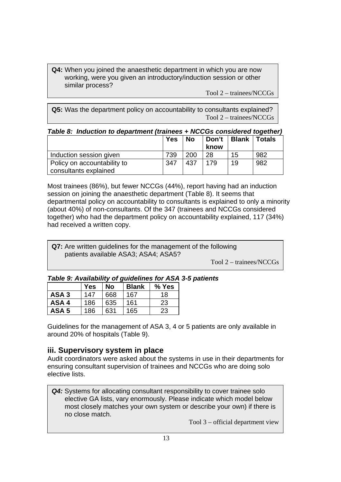**Q4:** When you joined the anaesthetic department in which you are now working, were you given an introductory/induction session or other similar process?

Tool 2 – trainees/NCCGs

**Q5:** Was the department policy on accountability to consultants explained? Tool 2 – trainees/NCCGs

| Table 8: Induction to department (trainees + NCCGs considered together) |
|-------------------------------------------------------------------------|
|-------------------------------------------------------------------------|

|                             | <b>Yes</b> | <b>No</b> | Don't   Blank |    | <b>Totals</b> |
|-----------------------------|------------|-----------|---------------|----|---------------|
|                             |            |           | know          |    |               |
| Induction session given     | 739        | 200       | 28            | 15 | 982           |
| Policy on accountability to | 347        | 437       | 179           | 19 | 982           |
| consultants explained       |            |           |               |    |               |

Most trainees (86%), but fewer NCCGs (44%), report having had an induction session on joining the anaesthetic department (Table 8). It seems that departmental policy on accountability to consultants is explained to only a minority (about 40%) of non-consultants. Of the 347 (trainees and NCCGs considered together) who had the department policy on accountability explained, 117 (34%) had received a written copy.

**Q7:** Are written guidelines for the management of the following patients available ASA3; ASA4; ASA5?

Tool 2 – trainees/NCCGs

|                  | <b>Yes</b> | <b>No</b> | <b>Blank</b> | % Yes |
|------------------|------------|-----------|--------------|-------|
| ASA <sub>3</sub> | 147        | 668       | 167          | 18    |
| ASA4             | 186        | 635       | 161          | 23    |
| ASA <sub>5</sub> | 186        | 631       | 165          | 23    |

Guidelines for the management of ASA 3, 4 or 5 patients are only available in around 20% of hospitals (Table 9).

## **iii. Supervisory system in place**

Audit coordinators were asked about the systems in use in their departments for ensuring consultant supervision of trainees and NCCGs who are doing solo elective lists.

**Q4:** Systems for allocating consultant responsibility to cover trainee solo elective GA lists, vary enormously. Please indicate which model below most closely matches your own system or describe your own) if there is no close match.

Tool 3 – official department view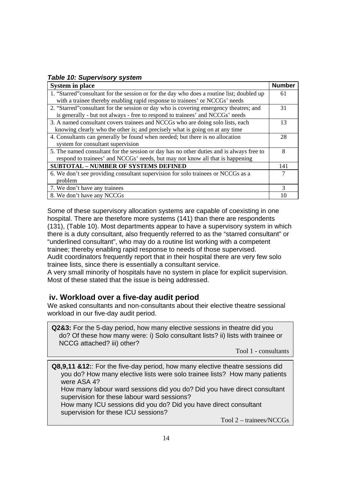#### *Table 10: Supervisory system*

| <b>System in place</b>                                                                     | <b>Number</b> |  |  |
|--------------------------------------------------------------------------------------------|---------------|--|--|
| 1. "Starred" consultant for the session or for the day who does a routine list; doubled up | 61            |  |  |
| with a trainee thereby enabling rapid response to trainees' or NCCGs' needs                |               |  |  |
| 2. "Starred" consultant for the session or day who is covering emergency theatres; and     | 31            |  |  |
| is generally - but not always - free to respond to trainees' and NCCGs' needs              |               |  |  |
| 3. A named consultant covers trainees and NCCGs who are doing solo lists, each             | 13            |  |  |
| knowing clearly who the other is; and precisely what is going on at any time               |               |  |  |
| 4. Consultants can generally be found when needed; but there is no allocation              |               |  |  |
| system for consultant supervision                                                          |               |  |  |
| 5. The named consultant for the session or day has no other duties and is always free to   | 8             |  |  |
| respond to trainees' and NCCGs' needs, but may not know all that is happening              |               |  |  |
| <b>SUBTOTAL - NUMBER OF SYSTEMS DEFINED</b>                                                | 141           |  |  |
| 6. We don't see providing consultant supervision for solo trainees or NCCGs as a           | 7             |  |  |
| problem                                                                                    |               |  |  |
| 7. We don't have any trainees                                                              | 3             |  |  |
| 8. We don't have any NCCGs                                                                 | 10            |  |  |

Some of these supervisory allocation systems are capable of coexisting in one hospital. There are therefore more systems (141) than there are respondents (131), (Table 10). Most departments appear to have a supervisory system in which there is a duty consultant, also frequently referred to as the "starred consultant" or "underlined consultant", who may do a routine list working with a competent trainee; thereby enabling rapid response to needs of those supervised. Audit coordinators frequently report that in their hospital there are very few solo trainee lists, since there is essentially a consultant service.

A very small minority of hospitals have no system in place for explicit supervision. Most of these stated that the issue is being addressed.

#### **iv. Workload over a five-day audit period**

We asked consultants and non-consultants about their elective theatre sessional workload in our five-day audit period.

**Q2&3:** For the 5-day period, how many elective sessions in theatre did you do? Of these how many were: i) Solo consultant lists? ii) lists with trainee or NCCG attached? iii) other?

Tool 1 - consultants

**Q8,9,11 &12:**: For the five-day period, how many elective theatre sessions did you do? How many elective lists were solo trainee lists? How many patients were ASA 4? How many labour ward sessions did you do? Did you have direct consultant supervision for these labour ward sessions? How many ICU sessions did you do? Did you have direct consultant

supervision for these ICU sessions?

Tool 2 – trainees/NCCGs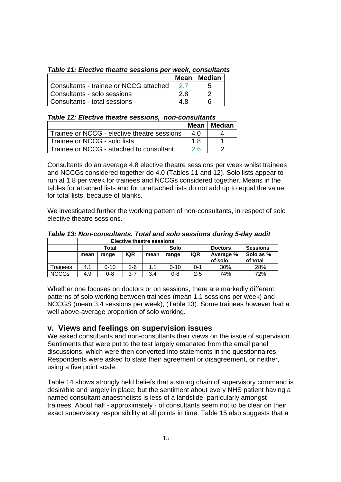|  |  |  | Table 11: Elective theatre sessions per week, consultants |
|--|--|--|-----------------------------------------------------------|
|  |  |  |                                                           |

|                                        | Mean | <b>Median</b> |
|----------------------------------------|------|---------------|
| Consultants - trainee or NCCG attached |      |               |
| l Consultants - solo sessions          | 2 R  |               |
| l Consultants - total sessions         | 4.8  | რ             |

#### *Table 12: Elective theatre sessions, non-consultants*

|                                             | Mean I    | Median |
|---------------------------------------------|-----------|--------|
| Trainee or NCCG - elective theatre sessions | 4 N       |        |
| Trainee or NCCG - solo lists                | 1 ጸ       |        |
| Trainee or NCCG - attached to consultant    | <b>26</b> |        |

Consultants do an average 4.8 elective theatre sessions per week whilst trainees and NCCGs considered together do 4.0 (Tables 11 and 12). Solo lists appear to run at 1.8 per week for trainees and NCCGs considered together. Means in the tables for attached lists and for unattached lists do not add up to equal the value for total lists, because of blanks.

We investigated further the working pattern of non-consultants, in respect of solo elective theatre sessions.

 $\blacksquare$ 

| Table 13: Non-consultants. Total and solo sessions during 5-day audit |  |
|-----------------------------------------------------------------------|--|
| . Electric theodus executives                                         |  |

|              |      |       |            | <b>Elective theatre sessions</b> |          |            |                      |                       |
|--------------|------|-------|------------|----------------------------------|----------|------------|----------------------|-----------------------|
|              |      | Total |            |                                  | Solo     |            | <b>Doctors</b>       | <b>Sessions</b>       |
|              | mean | range | <b>IQR</b> | mean                             | range    | <b>IQR</b> | Average %<br>of solo | Solo as %<br>of total |
| Trainees     | 4.1  | 0-10  | $2 - 6$    | 1.1                              | $0 - 10$ | 0-1        | 30%                  | 28%                   |
| <b>NCCGs</b> | 4.9  | 0-8   | $3 - 7$    | 3.4                              | 0-8      | $2 - 5$    | 74%                  | 72%                   |

Whether one focuses on doctors or on sessions, there are markedly different patterns of solo working between trainees (mean 1.1 sessions per week) and NCCGS (mean 3.4 sessions per week), (Table 13). Some trainees however had a well above-average proportion of solo working.

#### **v. Views and feelings on supervision issues**

We asked consultants and non-consultants their views on the issue of supervision. Sentiments that were put to the test largely emanated from the email panel discussions, which were then converted into statements in the questionnaires. Respondents were asked to state their agreement or disagreement, or neither, using a five point scale.

Table 14 shows strongly held beliefs that a strong chain of supervisory command is desirable and largely in place; but the sentiment about every NHS patient having a named consultant anaesthetists is less of a landslide, particularly amongst trainees. About half - approximately - of consultants seem not to be clear on their exact supervisory responsibility at all points in time. Table 15 also suggests that a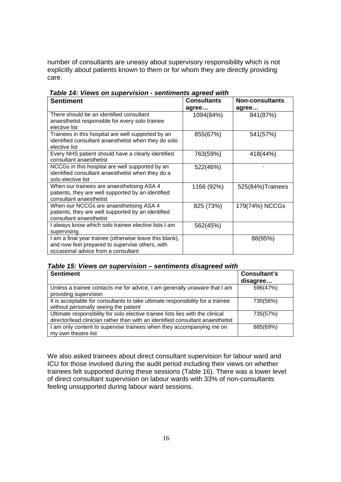number of consultants are uneasy about supervisory responsibility which is not explicitly about patients known to them or for whom they are directly providing care.

| <b>Sentiment</b>                                                                                                                                  | <b>Consultants</b><br>agree | <b>Non-consultants</b><br>agree |
|---------------------------------------------------------------------------------------------------------------------------------------------------|-----------------------------|---------------------------------|
| There should be an identified consultant<br>anaesthetist responsible for every solo trainee<br>elective list                                      | 1094(84%)                   | 841(87%)                        |
| Trainees in this hospital are well supported by an<br>identified consultant anaesthetist when they do solo<br>elective list                       | 855(67%)                    | 541(57%)                        |
| Every NHS patient should have a clearly identified<br>consultant anaesthetist                                                                     | 763(59%)                    | 418(44%)                        |
| NCCGs in this hospital are well supported by an<br>identified consultant anaesthetist when they do a<br>solo elective list                        | 522(46%)                    |                                 |
| When our trainees are anaesthetising ASA 4<br>patients, they are well supported by an identified<br>consultant anaesthetist                       | 1166 (92%)                  | 525(84%) Trainees               |
| When our NCCGs are anaesthetising ASA 4<br>patients, they are well supported by an identified<br>consultant anaesthetist                          | 825 (73%)                   | 179(74%) NCCGs                  |
| I always know which solo trainee elective lists I am<br>supervising                                                                               | 562(45%)                    |                                 |
| I am a final year trainee (otherwise leave this blank),<br>and now feel prepared to supervise others, with<br>occasional advice from a consultant |                             | 88(95%)                         |

 *Table 14: Views on supervision - sentiments agreed with* 

#### *Table 15: Views on supervision – sentiments disagreed with*

| <b>Sentiment</b>                                                                                                                                                 | <b>Consultant's</b><br>disagree |
|------------------------------------------------------------------------------------------------------------------------------------------------------------------|---------------------------------|
| Unless a trainee contacts me for advice, I am generally unaware that I am<br>providing supervision                                                               | 596(47%)                        |
| It is acceptable for consultants to take ultimate responsibility for a trainee<br>without personally seeing the patient                                          | 730(56%)                        |
| Ultimate responsibility for solo elective trainee lists lies with the clinical<br>director/lead clinician rather than with an identified consultant anaesthetist | 735(57%)                        |
| I am only content to supervise trainees when they accompanying me on<br>my own theatre list                                                                      | 885(69%)                        |

We also asked trainees about direct consultant supervision for labour ward and ICU for those involved during the audit period including their views on whether trainees felt supported during these sessions (Table 16). There was a lower level of direct consultant supervision on labour wards with 33% of non-consultants feeling unsupported during labour ward sessions.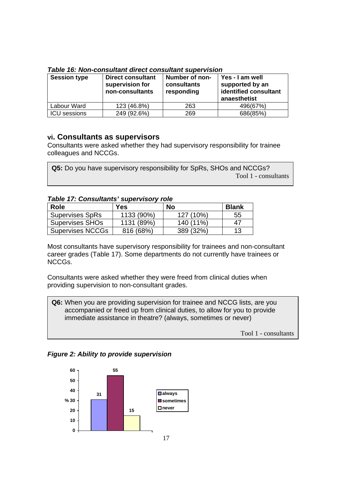| <b>Session type</b> | <b>Direct consultant</b><br>supervision for<br>non-consultants | Number of non-<br>consultants<br>responding | Yes - I am well<br>supported by an<br>identified consultant<br>anaesthetist |
|---------------------|----------------------------------------------------------------|---------------------------------------------|-----------------------------------------------------------------------------|
| Labour Ward         | 123 (46.8%)                                                    | 263                                         | 496(67%)                                                                    |
| <b>ICU</b> sessions | 249 (92.6%)                                                    | 269                                         | 686(85%)                                                                    |

*Table 16: Non-consultant direct consultant supervision* 

#### **vi. Consultants as supervisors**

Consultants were asked whether they had supervisory responsibility for trainee colleagues and NCCGs.

| <b>Q5:</b> Do you have supervisory responsibility for SpRs, SHOs and NCCGs? |
|-----------------------------------------------------------------------------|
| Tool 1 - consultants                                                        |

#### *Table 17: Consultants' supervisory role*

| Role                    | <b>Yes</b> | <b>No</b> | <b>Blank</b> |
|-------------------------|------------|-----------|--------------|
| <b>Supervises SpRs</b>  | 1133 (90%) | 127 (10%) | 55           |
| <b>Supervises SHOs</b>  | 1131 (89%) | 140 (11%) | 47           |
| <b>Supervises NCCGs</b> | 816 (68%)  | 389 (32%) | 13           |

Most consultants have supervisory responsibility for trainees and non-consultant career grades (Table 17). Some departments do not currently have trainees or NCCGs.

Consultants were asked whether they were freed from clinical duties when providing supervision to non-consultant grades.

**Q6:** When you are providing supervision for trainee and NCCG lists, are you accompanied or freed up from clinical duties, to allow for you to provide immediate assistance in theatre? (always, sometimes or never)

Tool 1 - consultants

*Figure 2: Ability to provide supervision* 

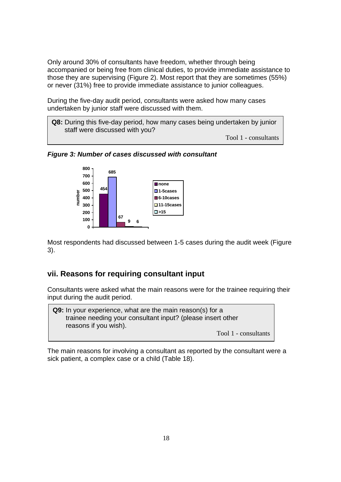Only around 30% of consultants have freedom, whether through being accompanied or being free from clinical duties, to provide immediate assistance to those they are supervising (Figure 2). Most report that they are sometimes (55%) or never (31%) free to provide immediate assistance to junior colleagues.

During the five-day audit period, consultants were asked how many cases undertaken by junior staff were discussed with them.

**Q8:** During this five-day period, how many cases being undertaken by junior staff were discussed with you?

Tool 1 - consultants



*Figure 3: Number of cases discussed with consultant* 

Most respondents had discussed between 1-5 cases during the audit week (Figure 3).

#### **vii. Reasons for requiring consultant input**

Consultants were asked what the main reasons were for the trainee requiring their input during the audit period.

**Q9:** In your experience, what are the main reason(s) for a trainee needing your consultant input? (please insert other reasons if you wish). Tool 1 - consultants

The main reasons for involving a consultant as reported by the consultant were a sick patient, a complex case or a child (Table 18).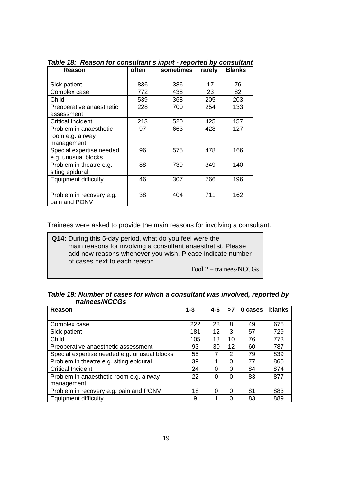| Reason                      | often | sometimes | rarely | <b>Blanks</b> |
|-----------------------------|-------|-----------|--------|---------------|
| Sick patient                | 836   | 386       | 17     | 76            |
| Complex case                | 772   | 438       | 23     | 82            |
| Child                       | 539   | 368       | 205    | 203           |
| Preoperative anaesthetic    | 228   | 700       | 254    | 133           |
| assessment                  |       |           |        |               |
| <b>Critical Incident</b>    | 213   | 520       | 425    | 157           |
| Problem in anaesthetic      | 97    | 663       | 428    | 127           |
| room e.g. airway            |       |           |        |               |
| management                  |       |           |        |               |
| Special expertise needed    | 96    | 575       | 478    | 166           |
| e.g. unusual blocks         |       |           |        |               |
| Problem in theatre e.g.     | 88    | 739       | 349    | 140           |
| siting epidural             |       |           |        |               |
| <b>Equipment difficulty</b> | 46    | 307       | 766    | 196           |
|                             |       |           |        |               |
| Problem in recovery e.g.    | 38    | 404       | 711    | 162           |
| pain and PONV               |       |           |        |               |

*Table 18: Reason for consultant's input - reported by consultant* 

Trainees were asked to provide the main reasons for involving a consultant.

**Q14:** During this 5-day period, what do you feel were the main reasons for involving a consultant anaesthetist. Please add new reasons whenever you wish. Please indicate number of cases next to each reason

Tool 2 – trainees/NCCGs

| Table 19: Number of cases for which a consultant was involved, reported by |  |  |
|----------------------------------------------------------------------------|--|--|
| trainees/NCCGs                                                             |  |  |

| $1 - 3$<br>Reason                            |     | $4 - 6$ | >7 | 0 cases | blanks |
|----------------------------------------------|-----|---------|----|---------|--------|
|                                              |     |         |    |         |        |
| Complex case                                 | 222 | 28      | 8  | 49      | 675    |
| Sick patient                                 | 181 | 12      | 3  | 57      | 729    |
| Child                                        | 105 | 18      | 10 | 76      | 773    |
| Preoperative anaesthetic assessment          | 93  | 30      | 12 | 60      | 787    |
| Special expertise needed e.g. unusual blocks | 55  | 7       | 2  | 79      | 839    |
| Problem in theatre e.g. siting epidural      | 39  | 1       | 0  | 77      | 865    |
| <b>Critical Incident</b>                     | 24  | 0       | 0  | 84      | 874    |
| Problem in anaesthetic room e.g. airway      | 22  | 0       | 0  | 83      | 877    |
| management                                   |     |         |    |         |        |
| Problem in recovery e.g. pain and PONV       | 18  | 0       | 0  | 81      | 883    |
| <b>Equipment difficulty</b>                  | 9   | ◢       | 0  | 83      | 889    |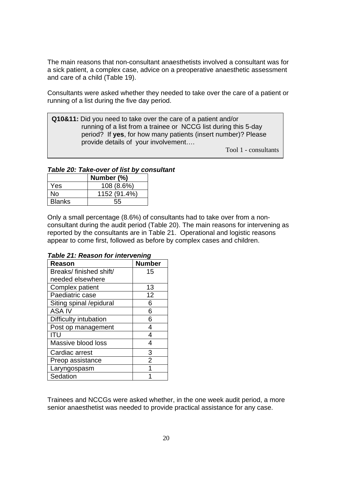The main reasons that non-consultant anaesthetists involved a consultant was for a sick patient, a complex case, advice on a preoperative anaesthetic assessment and care of a child (Table 19).

Consultants were asked whether they needed to take over the care of a patient or running of a list during the five day period.

**Q10&11:** Did you need to take over the care of a patient and/or running of a list from a trainee or NCCG list during this 5-day period? If **yes**, for how many patients (insert number)? Please provide details of your involvement….

Tool 1 - consultants

#### *Table 20: Take-over of list by consultant*

|               | Number (%)   |
|---------------|--------------|
| Yes           | 108 (8.6%)   |
| No            | 1152 (91.4%) |
| <b>Blanks</b> | 55           |

 $\overline{\phantom{a}}$ 

Only a small percentage (8.6%) of consultants had to take over from a nonconsultant during the audit period (Table 20). The main reasons for intervening as reported by the consultants are in Table 21. Operational and logistic reasons appear to come first, followed as before by complex cases and children.

| Reason                  | <b>Number</b>  |
|-------------------------|----------------|
| Breaks/finished shift/  | 15             |
| needed elsewhere        |                |
| <b>Complex patient</b>  | 13             |
| Paediatric case         | 12             |
| Siting spinal /epidural | 6              |
| <b>ASA IV</b>           | 6              |
| Difficulty intubation   | 6              |
| Post op management      | 4              |
| ITU                     | 4              |
| Massive blood loss      | 4              |
| Cardiac arrest          | 3              |
| Preop assistance        | $\overline{2}$ |
| Laryngospasm            |                |
| Sedation                |                |

#### *Table 21: Reason for intervening*

Trainees and NCCGs were asked whether, in the one week audit period, a more senior anaesthetist was needed to provide practical assistance for any case.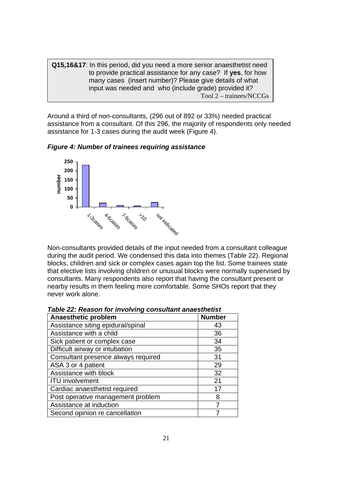**Q15,16&17**: In this period, did you need a more senior anaesthetist need to provide practical assistance for any case? If **yes**, for how many cases (insert number)? Please give details of what input was needed and who (include grade) provided it? Tool 2 – trainees/NCCGs

Around a third of non-consultants, (296 out of 892 or 33%) needed practical assistance from a consultant. Of this 296, the majority of respondents only needed assistance for 1-3 cases during the audit week (Figure 4).

*Figure 4: Number of trainees requiring assistance* 



Non-consultants provided details of the input needed from a consultant colleague during the audit period. We condensed this data into themes (Table 22). Regional blocks, children and sick or complex cases again top the list. Some trainees state that elective lists involving children or unusual blocks were normally supervised by consultants. Many respondents also report that having the consultant present or nearby results in them feeling more comfortable. Some SHOs report that they never work alone.

| Anaesthetic problem                 | <b>Number</b> |
|-------------------------------------|---------------|
| Assistance siting epidural/spinal   | 43            |
| Assistance with a child             | 36            |
| Sick patient or complex case        | 34            |
| Difficult airway or intubation      | 35            |
| Consultant presence always required | 31            |
| ASA 3 or 4 patient                  | 29            |
| Assistance with block               | 32            |
| <b>ITU</b> involvement              | 21            |
| Cardiac anaesthetist required       | 17            |
| Post operative management problem   | 8             |
| Assistance at induction             |               |
| Second opinion re cancellation      |               |

*Table 22: Reason for involving consultant anaesthetist*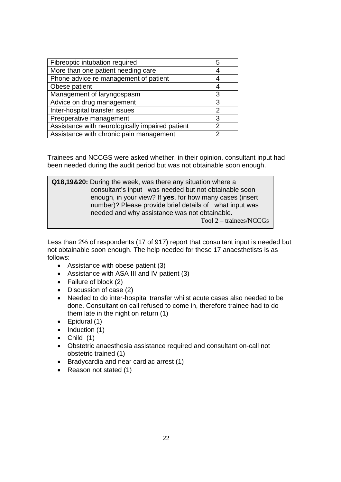| Fibreoptic intubation required                  | 5 |
|-------------------------------------------------|---|
| More than one patient needing care              |   |
| Phone advice re management of patient           |   |
| Obese patient                                   |   |
| Management of laryngospasm                      | 3 |
| Advice on drug management                       | 3 |
| Inter-hospital transfer issues                  | 2 |
| Preoperative management                         | 3 |
| Assistance with neurologically impaired patient | 2 |
| Assistance with chronic pain management         | ◠ |

Trainees and NCCGS were asked whether, in their opinion, consultant input had been needed during the audit period but was not obtainable soon enough.

| Q18,19&20: During the week, was there any situation where a |
|-------------------------------------------------------------|
| consultant's input was needed but not obtainable soon       |
| enough, in your view? If yes, for how many cases (insert    |
| number)? Please provide brief details of what input was     |
| needed and why assistance was not obtainable.               |
| $Tool$ 2 – trainees/NCCGs                                   |

Less than 2% of respondents (17 of 917) report that consultant input is needed but not obtainable soon enough. The help needed for these 17 anaesthetists is as follows:

- Assistance with obese patient (3)
- Assistance with ASA III and IV patient (3)
- Failure of block (2)
- Discussion of case (2)
- Needed to do inter-hospital transfer whilst acute cases also needed to be done. Consultant on call refused to come in, therefore trainee had to do them late in the night on return (1)
- Epidural (1)
- Induction (1)
- $\bullet$  Child (1)
- Obstetric anaesthesia assistance required and consultant on-call not obstetric trained (1)
- Bradycardia and near cardiac arrest (1)
- Reason not stated (1)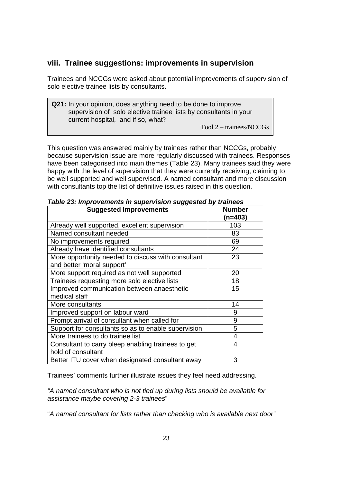## **viii. Trainee suggestions: improvements in supervision**

Trainees and NCCGs were asked about potential improvements of supervision of solo elective trainee lists by consultants.

**Q21:** In your opinion, does anything need to be done to improve supervision of solo elective trainee lists by consultants in your current hospital, and if so, what?

Tool 2 – trainees/NCCGs

This question was answered mainly by trainees rather than NCCGs, probably because supervision issue are more regularly discussed with trainees. Responses have been categorised into main themes (Table 23). Many trainees said they were happy with the level of supervision that they were currently receiving, claiming to be well supported and well supervised. A named consultant and more discussion with consultants top the list of definitive issues raised in this question.

| rable zo. Improvements in supervision suggested by trainees<br><b>Suggested Improvements</b> | <b>Number</b>  |
|----------------------------------------------------------------------------------------------|----------------|
|                                                                                              | (n=403)        |
| Already well supported, excellent supervision                                                | 103            |
| Named consultant needed                                                                      | 83             |
| No improvements required                                                                     | 69             |
| Already have identified consultants                                                          | 24             |
| More opportunity needed to discuss with consultant                                           | 23             |
| and better 'moral support'                                                                   |                |
| More support required as not well supported                                                  | 20             |
| Trainees requesting more solo elective lists                                                 | 18             |
| Improved communication between anaesthetic                                                   | 15             |
| medical staff                                                                                |                |
| More consultants                                                                             | 14             |
| Improved support on labour ward                                                              | 9              |
| Prompt arrival of consultant when called for                                                 | 9              |
| Support for consultants so as to enable supervision                                          | 5              |
| More trainees to do trainee list                                                             | 4              |
| Consultant to carry bleep enabling trainees to get                                           | $\overline{4}$ |
| hold of consultant                                                                           |                |
| Better ITU cover when designated consultant away                                             | 3              |

*Table 23: Improvements in supervision suggested by trainees* 

Trainees' comments further illustrate issues they feel need addressing.

*"A named consultant who is not tied up during lists should be available for assistance maybe covering 2-3 trainees*"

"*A named consultant for lists rather than checking who is available next door"*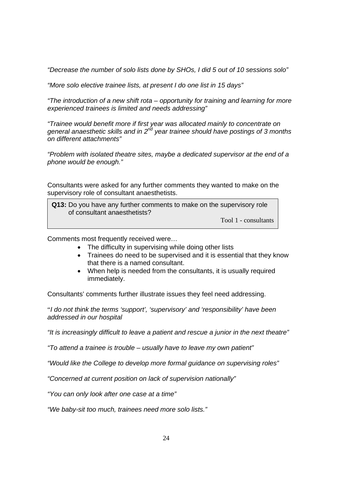*"Decrease the number of solo lists done by SHOs, I did 5 out of 10 sessions solo"* 

*"More solo elective trainee lists, at present I do one list in 15 days"* 

*"The introduction of a new shift rota – opportunity for training and learning for more experienced trainees is limited and needs addressing"* 

*"Trainee would benefit more if first year was allocated mainly to concentrate on general anaesthetic skills and in 2nd year trainee should have postings of 3 months on different attachments"* 

*"Problem with isolated theatre sites, maybe a dedicated supervisor at the end of a phone would be enough."* 

Consultants were asked for any further comments they wanted to make on the supervisory role of consultant anaesthetists.

**Q13:** Do you have any further comments to make on the supervisory role of consultant anaesthetists?

Tool 1 - consultants

Comments most frequently received were…

- The difficulty in supervising while doing other lists
- Trainees do need to be supervised and it is essential that they know that there is a named consultant.
- When help is needed from the consultants, it is usually required immediately.

Consultants' comments further illustrate issues they feel need addressing.

"*I do not think the terms 'support', 'supervisory' and 'responsibility' have been addressed in our hospital* 

*"It is increasingly difficult to leave a patient and rescue a junior in the next theatre"* 

*"To attend a trainee is trouble – usually have to leave my own patient"* 

*"Would like the College to develop more formal guidance on supervising roles"* 

*"Concerned at current position on lack of supervision nationally"* 

*"You can only look after one case at a time"* 

*"We baby-sit too much, trainees need more solo lists."*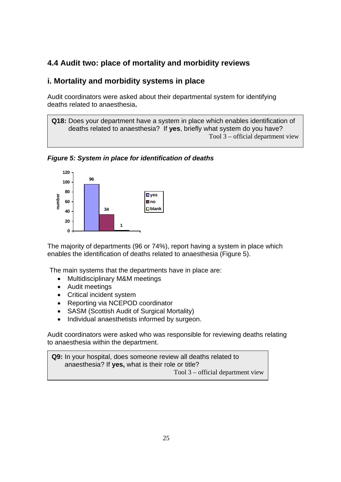## **4.4 Audit two: place of mortality and morbidity reviews**

### **i. Mortality and morbidity systems in place**

Audit coordinators were asked about their departmental system for identifying deaths related to anaesthesia**.** 

**Q18:** Does your department have a system in place which enables identification of deaths related to anaesthesia? If **yes**, briefly what system do you have? Tool 3 – official department view

*Figure 5: System in place for identification of deaths* 



 The majority of departments (96 or 74%), report having a system in place which enables the identification of deaths related to anaesthesia (Figure 5).

The main systems that the departments have in place are:

- Multidisciplinary M&M meetings
- Audit meetings

 $\overline{\phantom{a}}$ 

- Critical incident system
- Reporting via NCEPOD coordinator
- SASM (Scottish Audit of Surgical Mortality)
- Individual anaesthetists informed by surgeon.

Audit coordinators were asked who was responsible for reviewing deaths relating to anaesthesia within the department.

**Q9:** In your hospital, does someone review all deaths related to anaesthesia? If **yes,** what is their role or title? Tool 3 – official department view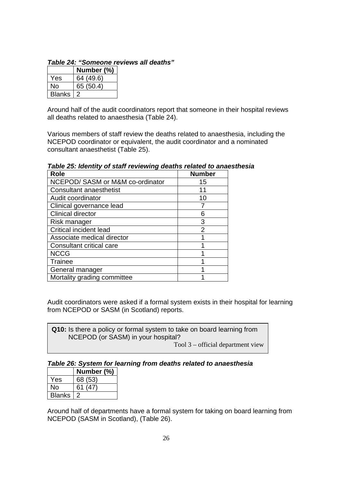|               | Number (%) |
|---------------|------------|
| Yes           | 64 (49.6)  |
| N٥            | 65 (50.4)  |
| <b>Blanks</b> |            |

*Table 24: "Someone reviews all deaths"* 

Around half of the audit coordinators report that someone in their hospital reviews all deaths related to anaesthesia (Table 24).

Various members of staff review the deaths related to anaesthesia, including the NCEPOD coordinator or equivalent, the audit coordinator and a nominated consultant anaesthetist (Table 25).

| <b>Role</b>                      | <b>Number</b>  |
|----------------------------------|----------------|
| NCEPOD/ SASM or M&M co-ordinator | 15             |
| <b>Consultant anaesthetist</b>   | 11             |
| Audit coordinator                | 10             |
| Clinical governance lead         |                |
| <b>Clinical director</b>         | 6              |
| Risk manager                     | 3              |
| <b>Critical incident lead</b>    | $\overline{2}$ |
| Associate medical director       |                |
| Consultant critical care         |                |
| <b>NCCG</b>                      |                |
| Trainee                          |                |
| General manager                  |                |
| Mortality grading committee      |                |

*Table 25: Identity of staff reviewing deaths related to anaesthesia* 

Audit coordinators were asked if a formal system exists in their hospital for learning from NCEPOD or SASM (in Scotland) reports.

**Q10:** Is there a policy or formal system to take on board learning from NCEPOD (or SASM) in your hospital? Tool 3 – official department view

## *Table 26: System for learning from deaths related to anaesthesia*

|               | Number (%) |
|---------------|------------|
| <b>Yes</b>    | 68 (53)    |
| N٥            | 61(47)     |
| <b>Blanks</b> |            |

Around half of departments have a formal system for taking on board learning from NCEPOD (SASM in Scotland), (Table 26).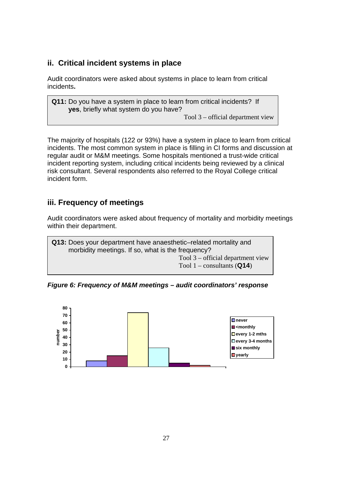## **ii. Critical incident systems in place**

Audit coordinators were asked about systems in place to learn from critical incidents**.** 

**Q11:** Do you have a system in place to learn from critical incidents? If **yes**, briefly what system do you have?

Tool 3 – official department view

The majority of hospitals (122 or 93%) have a system in place to learn from critical incidents. The most common system in place is filling in CI forms and discussion at regular audit or M&M meetings. Some hospitals mentioned a trust-wide critical incident reporting system, including critical incidents being reviewed by a clinical risk consultant. Several respondents also referred to the Royal College critical incident form.

## **iii. Frequency of meetings**

Audit coordinators were asked about frequency of mortality and morbidity meetings within their department.

**Q13:** Does your department have anaesthetic–related mortality and morbidity meetings. If so, what is the frequency? Tool 3 – official department view Tool 1 – consultants (**Q14**)

*Figure 6: Frequency of M&M meetings – audit coordinators' response* 

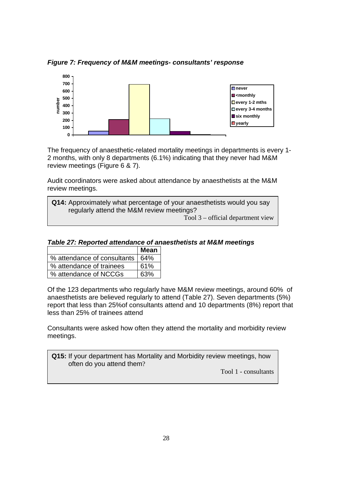*Figure 7: Frequency of M&M meetings- consultants' response* 



The frequency of anaesthetic-related mortality meetings in departments is every 1- 2 months, with only 8 departments (6.1%) indicating that they never had M&M review meetings (Figure 6 & 7).

Audit coordinators were asked about attendance by anaesthetists at the M&M review meetings.

| Q14: Approximately what percentage of your anaesthetists would you say |  |  |
|------------------------------------------------------------------------|--|--|
| regularly attend the M&M review meetings?                              |  |  |
| Tool $3$ – official department view                                    |  |  |

|                                   | <b>Mean</b> |
|-----------------------------------|-------------|
| % attendance of consultants   64% |             |
| % attendance of trainees          | 61%         |
| % attendance of NCCGs             | 63%         |

Of the 123 departments who regularly have M&M review meetings, around 60% of anaesthetists are believed regularly to attend (Table 27). Seven departments (5%) report that less than 25%of consultants attend and 10 departments (8%) report that less than 25% of trainees attend

Consultants were asked how often they attend the mortality and morbidity review meetings.

**Q15:** If your department has Mortality and Morbidity review meetings, how often do you attend them?

Tool 1 - consultants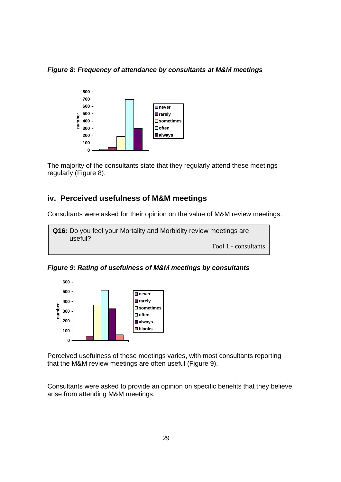*Figure 8: Frequency of attendance by consultants at M&M meetings* 



The majority of the consultants state that they regularly attend these meetings regularly (Figure 8).

#### **iv. Perceived usefulness of M&M meetings**

Consultants were asked for their opinion on the value of M&M review meetings.

**Q16:** Do you feel your Mortality and Morbidity review meetings are useful? Tool 1 - consultants

*Figure 9: Rating of usefulness of M&M meetings by consultants* 



Perceived usefulness of these meetings varies, with most consultants reporting that the M&M review meetings are often useful (Figure 9).

Consultants were asked to provide an opinion on specific benefits that they believe arise from attending M&M meetings.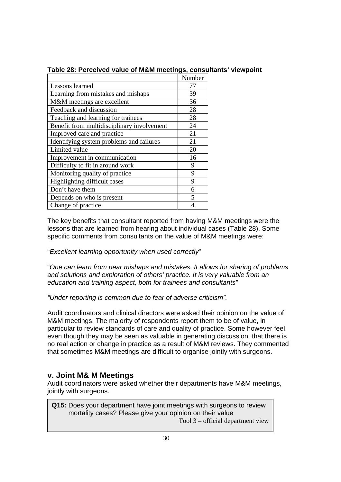|                                            | Number |
|--------------------------------------------|--------|
| Lessons learned                            | 77     |
| Learning from mistakes and mishaps         | 39     |
| M&M meetings are excellent                 | 36     |
| Feedback and discussion                    | 28     |
| Teaching and learning for trainees         | 28     |
| Benefit from multidisciplinary involvement | 24     |
| Improved care and practice                 | 21     |
| Identifying system problems and failures   | 21     |
| Limited value                              | 20     |
| Improvement in communication               | 16     |
| Difficulty to fit in around work           | 9      |
| Monitoring quality of practice             | 9      |
| Highlighting difficult cases               | 9      |
| Don't have them                            | 6      |
| Depends on who is present                  | 5      |
| Change of practice                         |        |

#### **Table 28: Perceived value of M&M meetings, consultants' viewpoint**

The key benefits that consultant reported from having M&M meetings were the lessons that are learned from hearing about individual cases (Table 28). Some specific comments from consultants on the value of M&M meetings were:

"*Excellent learning opportunity when used correctly*"

"*One can learn from near mishaps and mistakes. It allows for sharing of problems and solutions and exploration of others' practice. It is very valuable from an education and training aspect, both for trainees and consultants"*

*"Under reporting is common due to fear of adverse criticism".* 

Audit coordinators and clinical directors were asked their opinion on the value of M&M meetings. The majority of respondents report them to be of value, in particular to review standards of care and quality of practice. Some however feel even though they may be seen as valuable in generating discussion, that there is no real action or change in practice as a result of M&M reviews. They commented that sometimes M&M meetings are difficult to organise jointly with surgeons.

#### **v. Joint M& M Meetings**

Audit coordinators were asked whether their departments have M&M meetings, jointly with surgeons.

**Q15:** Does your department have joint meetings with surgeons to review mortality cases? Please give your opinion on their value

Tool 3 – official department view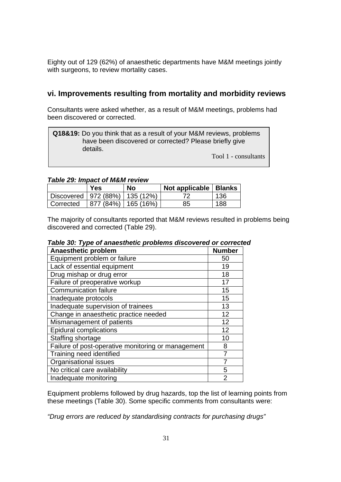Eighty out of 129 (62%) of anaesthetic departments have M&M meetings jointly with surgeons, to review mortality cases.

#### **vi. Improvements resulting from mortality and morbidity reviews**

Consultants were asked whether, as a result of M&M meetings, problems had been discovered or corrected.

**Q18&19:** Do you think that as a result of your M&M reviews, problems have been discovered or corrected? Please briefly give details.

Tool 1 - consultants

#### *Table 29: Impact of M&M review*

|                                    | <b>Yes</b>            | No | Not applicable   Blanks |     |
|------------------------------------|-----------------------|----|-------------------------|-----|
| Discovered   972 (88%)   135 (12%) |                       |    |                         | 136 |
| Corrected                          | 877 (84%)   165 (16%) |    | 85                      | 188 |

The majority of consultants reported that M&M reviews resulted in problems being discovered and corrected (Table 29).

| Anaesthetic problem                                | <b>Number</b>  |
|----------------------------------------------------|----------------|
| Equipment problem or failure                       | 50             |
| Lack of essential equipment                        | 19             |
| Drug mishap or drug error                          | 18             |
| Failure of preoperative workup                     | 17             |
| <b>Communication failure</b>                       | 15             |
| Inadequate protocols                               | 15             |
| Inadequate supervision of trainees                 | 13             |
| Change in anaesthetic practice needed              | 12             |
| Mismanagement of patients                          | 12             |
| <b>Epidural complications</b>                      | 12             |
| Staffing shortage                                  | 10             |
| Failure of post-operative monitoring or management | 8              |
| Training need identified                           | 7              |
| Organisational issues                              |                |
| No critical care availability                      | 5              |
| Inadequate monitoring                              | $\overline{2}$ |

## *Table 30: Type of anaesthetic problems discovered or corrected*

Equipment problems followed by drug hazards, top the list of learning points from these meetings (Table 30). Some specific comments from consultants were:

*"Drug errors are reduced by standardising contracts for purchasing drugs"*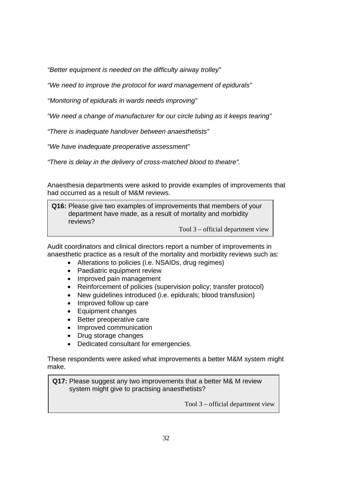*"Better equipment is needed on the difficulty airway trolley"* 

*"We need to improve the protocol for ward management of epidurals"* 

*"Monitoring of epidurals in wards needs improving"* 

*"We need a change of manufacturer for our circle tubing as it keeps tearing"* 

*"There is inadequate handover between anaesthetists"* 

*"We have inadequate preoperative assessment"* 

*"There is delay in the delivery of cross-matched blood to theatre".*

Anaesthesia departments were asked to provide examples of improvements that had occurred as a result of M&M reviews.

**Q16:** Please give two examples of improvements that members of your department have made, as a result of mortality and morbidity reviews?

Tool 3 – official department view

Audit coordinators and clinical directors report a number of improvements in anaesthetic practice as a result of the mortality and morbidity reviews such as:

- Alterations to policies (i.e. NSAIDs, drug regimes)
- Paediatric equipment review
- Improved pain management
- Reinforcement of policies (supervision policy; transfer protocol)
- New guidelines introduced (i.e. epidurals; blood transfusion)
- Improved follow up care
- Equipment changes
- Better preoperative care
- Improved communication
- Drug storage changes
- Dedicated consultant for emergencies.

These respondents were asked what improvements a better M&M system might make.

**Q17:** Please suggest any two improvements that a better M& M review system might give to practising anaesthetists?

Tool 3 – official department view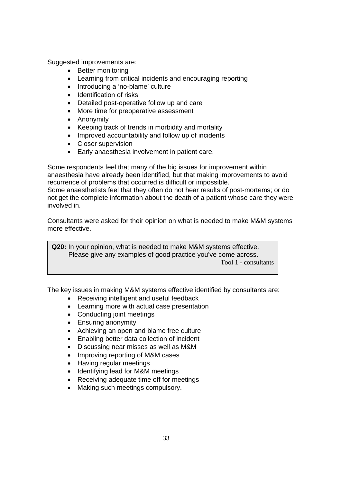Suggested improvements are:

- Better monitoring
- Learning from critical incidents and encouraging reporting
- Introducing a 'no-blame' culture
- Identification of risks
- Detailed post-operative follow up and care
- More time for preoperative assessment
- Anonymity

 $\overline{\phantom{a}}$ 

- Keeping track of trends in morbidity and mortality
- Improved accountability and follow up of incidents
- Closer supervision
- Early anaesthesia involvement in patient care.

Some respondents feel that many of the big issues for improvement within anaesthesia have already been identified, but that making improvements to avoid recurrence of problems that occurred is difficult or impossible.

Some anaesthetists feel that they often do not hear results of post-mortems; or do not get the complete information about the death of a patient whose care they were involved in.

Consultants were asked for their opinion on what is needed to make M&M systems more effective.

**Q20:** In your opinion, what is needed to make M&M systems effective. Please give any examples of good practice you've come across. Tool 1 - consultants

The key issues in making M&M systems effective identified by consultants are:

- Receiving intelligent and useful feedback
- Learning more with actual case presentation
- Conducting joint meetings
- Ensuring anonymity
- Achieving an open and blame free culture
- Enabling better data collection of incident
- Discussing near misses as well as M&M
- Improving reporting of M&M cases
- Having regular meetings
- Identifying lead for M&M meetings
- Receiving adequate time off for meetings
- Making such meetings compulsory.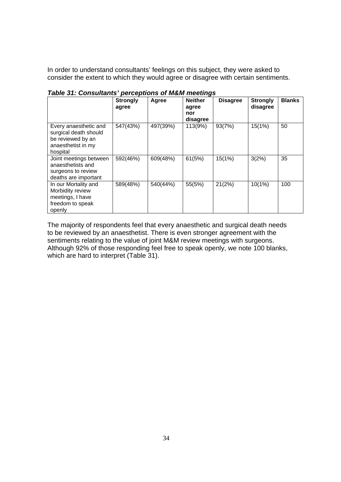In order to understand consultants' feelings on this subject, they were asked to consider the extent to which they would agree or disagree with certain sentiments.

|                                                                                                       | <b>Strongly</b><br>agree | Agree    | <b>Neither</b><br>agree<br>nor<br>disagree | <b>Disagree</b> | <b>Strongly</b><br>disagree | <b>Blanks</b> |
|-------------------------------------------------------------------------------------------------------|--------------------------|----------|--------------------------------------------|-----------------|-----------------------------|---------------|
| Every anaesthetic and<br>surgical death should<br>be reviewed by an<br>anaesthetist in my<br>hospital | 547(43%)                 | 497(39%) | 113(9%)                                    | 93(7%)          | 15(1%)                      | 50            |
| Joint meetings between<br>anaesthetists and<br>surgeons to review<br>deaths are important             | 592(46%)                 | 609(48%) | 61(5%)                                     | 15(1%)          | 3(2%)                       | 35            |
| In our Mortality and<br>Morbidity review<br>meetings, I have<br>freedom to speak<br>openly            | 589(48%)                 | 540(44%) | 55(5%)                                     | 21(2%)          | 10(1%)                      | 100           |

*Table 31: Consultants' perceptions of M&M meetings* 

The majority of respondents feel that every anaesthetic and surgical death needs to be reviewed by an anaesthetist. There is even stronger agreement with the sentiments relating to the value of joint M&M review meetings with surgeons. Although 92% of those responding feel free to speak openly, we note 100 blanks, which are hard to interpret (Table 31).